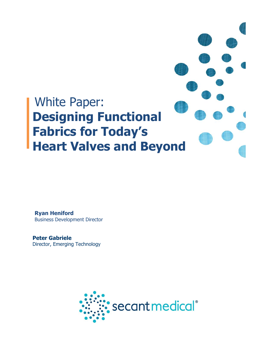

**Ryan Heniford** Business Development Director

**Peter Gabriele** Director, Emerging Technology

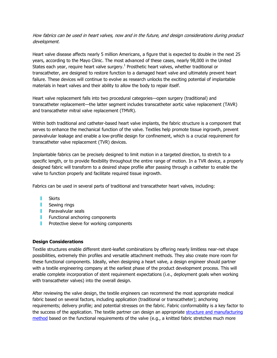How fabrics can be used in heart valves, now and in the future, and design considerations during product development.

Heart valve disease affects nearly 5 million Americans, a figure that is expected to double in the next 25 years, according to the Mayo Clinic. The most advanced of these cases, nearly 98,000 in the United States each year, require heart valve surgery.<sup>1</sup> Prosthetic heart valves, whether traditional or transcatheter, are designed to restore function to a damaged heart valve and ultimately prevent heart failure. These devices will continue to evolve as research unlocks the exciting potential of implantable materials in heart valves and their ability to allow the body to repair itself.

Heart valve replacement falls into two procedural categories—open surgery (traditional) and transcatheter replacement—the latter segment includes transcatheter aortic valve replacement (TAVR) and transcatheter mitral valve replacement (TMVR).

Within both traditional and catheter-based heart valve implants, the fabric structure is a component that serves to enhance the mechanical function of the valve. Textiles help promote tissue ingrowth, prevent paravalvular leakage and enable a low-profile design for confinement, which is a crucial requirement for transcatheter valve replacement (TVR) devices.

Implantable fabrics can be precisely designed to limit motion in a targeted direction, to stretch to a specific length, or to provide flexibility throughout the entire range of motion. In a TVR device, a properly designed fabric will transform to a desired shape profile after passing through a catheter to enable the valve to function properly and facilitate required tissue ingrowth.

Fabrics can be used in several parts of traditional and transcatheter heart valves, including:

- П Skirts
- **I** Sewing rings
- **Paravalvular seals**
- Functional anchoring components
- г Protective sleeve for working components

## **Design Considerations**

Textile structures enable different stent-leaflet combinations by offering nearly limitless near-net shape possibilities, extremely thin profiles and versatile attachment methods. They also create more room for these functional components. Ideally, when designing a heart valve, a design engineer should partner with a textile engineering company at the earliest phase of the product development process. This will enable complete incorporation of stent requirement expectations (i.e., deployment goals when working with transcatheter valves) into the overall design.

After reviewing the valve design, the textile engineers can recommend the most appropriate medical fabric based on several factors, including application (traditional or transcatheter); anchoring requirements; delivery profile; and potential stresses on the fabric. Fabric conformability is a key factor to the success of the application. The textile partner can design an appropriate structure and manufacturing [method](http://www.secantmedical.com/biomedical-textiles/textile-science/textile-science.php) based on the functional requirements of the valve (e.g., a knitted fabric stretches much more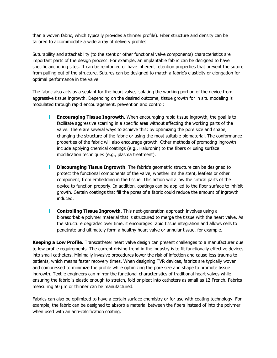than a woven fabric, which typically provides a thinner profile). Fiber structure and density can be tailored to accommodate a wide array of delivery profiles.

Suturability and attachability (to the stent or other functional valve components) characteristics are important parts of the design process. For example, an implantable fabric can be designed to have specific anchoring sites. It can be reinforced or have inherent retention properties that prevent the suture from pulling out of the structure. Sutures can be designed to match a fabric's elasticity or elongation for optimal performance in the valve.

The fabric also acts as a sealant for the heart valve, isolating the working portion of the device from aggressive tissue ingrowth. Depending on the desired outcome, tissue growth for in situ modeling is modulated through rapid encouragement, prevention and control:

- **Encouraging Tissue Ingrowth.** When encouraging rapid tissue ingrowth, the goal is to facilitate aggressive scarring in a specific area without affecting the working parts of the valve. There are several ways to achieve this: by optimizing the pore size and shape, changing the structure of the fabric or using the most suitable biomaterial. The conformance properties of the fabric will also encourage growth. Other methods of promoting ingrowth include applying chemical coatings (e.g., Haluronin) to the fibers or using surface modification techniques (e.g., plasma treatment).
- Т. **Discouraging Tissue Ingrowth**. The fabric's geometric structure can be designed to protect the functional components of the valve, whether it's the stent, leaflets or other component, from embedding in the tissue. This action will allow the critical parts of the device to function properly. In addition, coatings can be applied to the fiber surface to inhibit growth. Certain coatings that fill the pores of a fabric could reduce the amount of ingrowth induced.
- **Controlling Tissue Ingrowth**. This next-generation approach involves using a bioresorbable polymer material that is structured to merge the tissue with the heart valve. As the structure degrades over time, it encourages rapid tissue integration and allows cells to penetrate and ultimately form a healthy heart valve or annular tissue, for example.

**Keeping a Low Profile.** Transcatheter heart valve design can present challenges to a manufacturer due to low-profile requirements. The current driving trend in the industry is to fit functionally effective devices into small catheters. Minimally invasive procedures lower the risk of infection and cause less trauma to patients, which means faster recovery times. When designing TVR devices, fabrics are typically woven and compressed to minimize the profile while optimizing the pore size and shape to promote tissue ingrowth. Textile engineers can mirror the functional characteristics of traditional heart valves while ensuring the fabric is elastic enough to stretch, fold or pleat into catheters as small as 12 French. Fabrics measuring 50 µm or thinner can be manufactured.

Fabrics can also be optimized to have a certain surface chemistry or for use with coating technology. For example, the fabric can be designed to absorb a material between the fibers instead of into the polymer when used with an anti-calcification coating.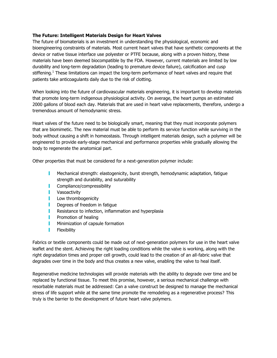## **The Future: Intelligent Materials Design for Heart Valves**

The future of biomaterials is an investment in understanding the physiological, economic and bioengineering constraints of materials. Most current heart valves that have synthetic components at the device or native tissue interface use polyester or PTFE because, along with a proven history, these materials have been deemed biocompatible by the FDA. However, current materials are limited by low durability and long-term degradation (leading to premature device failure), calcification and cusp stiffening.<sup>1</sup> These limitations can impact the long-term performance of heart valves and require that patients take anticoagulants daily due to the risk of clotting.

When looking into the future of cardiovascular materials engineering, it is important to develop materials that promote long-term indigenous physiological activity. On average, the heart pumps an estimated 2000 gallons of blood each day. Materials that are used in heart valve replacements, therefore, undergo a tremendous amount of hemodynamic stress.

Heart valves of the future need to be biologically smart, meaning that they must incorporate polymers that are biomimetic. The new material must be able to perform its service function while surviving in the body without causing a shift in homeostasis. Through intelligent materials design, such a polymer will be engineered to provide early-stage mechanical and performance properties while gradually allowing the body to regenerate the anatomical part.

Other properties that must be considered for a next-generation polymer include:

- T. Mechanical strength: elastogenicity, burst strength, hemodynamic adaptation, fatigue strength and durability, and suturability
- Compliance/compressibility
- **I** Vasoactivity
- Low thrombogenicity
- T. Degrees of freedom in fatigue
- Resistance to infection, inflammation and hyperplasia
- Promotion of healing
- П Minimization of capsule formation
- T. Flexibility

Fabrics or textile components could be made out of next-generation polymers for use in the heart valve leaflet and the stent. Achieving the right loading conditions while the valve is working, along with the right degradation times and proper cell growth, could lead to the creation of an all-fabric valve that degrades over time in the body and thus creates a new valve, enabling the valve to heal itself.

Regenerative medicine technologies will provide materials with the ability to degrade over time and be replaced by functional tissue. To meet this promise, however, a serious mechanical challenge with resorbable materials must be addressed: Can a valve construct be designed to manage the mechanical stress of life support while at the same time promote the remodeling as a regenerative process? This truly is the barrier to the development of future heart valve polymers.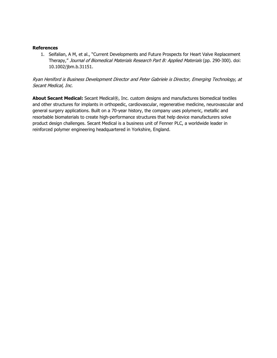## **References**

1. Seifalian, A M, et al., "Current Developments and Future Prospects for Heart Valve Replacement Therapy," Journal of Biomedical Materials Research Part B: Applied Materials (pp. 290-300). doi: 10.1002/jbm.b.31151.

## Ryan Heniford is Business Development Director and Peter Gabriele is Director, Emerging Technology, at Secant Medical, Inc.

**About Secant Medical:** Secant Medical®, Inc. custom designs and manufactures biomedical textiles and other structures for implants in orthopedic, cardiovascular, regenerative medicine, neurovascular and general surgery applications. Built on a 70-year history, the company uses polymeric, metallic and resorbable biomaterials to create high-performance structures that help device manufacturers solve product design challenges. Secant Medical is a business unit of Fenner PLC, a worldwide leader in reinforced polymer engineering headquartered in Yorkshire, England.